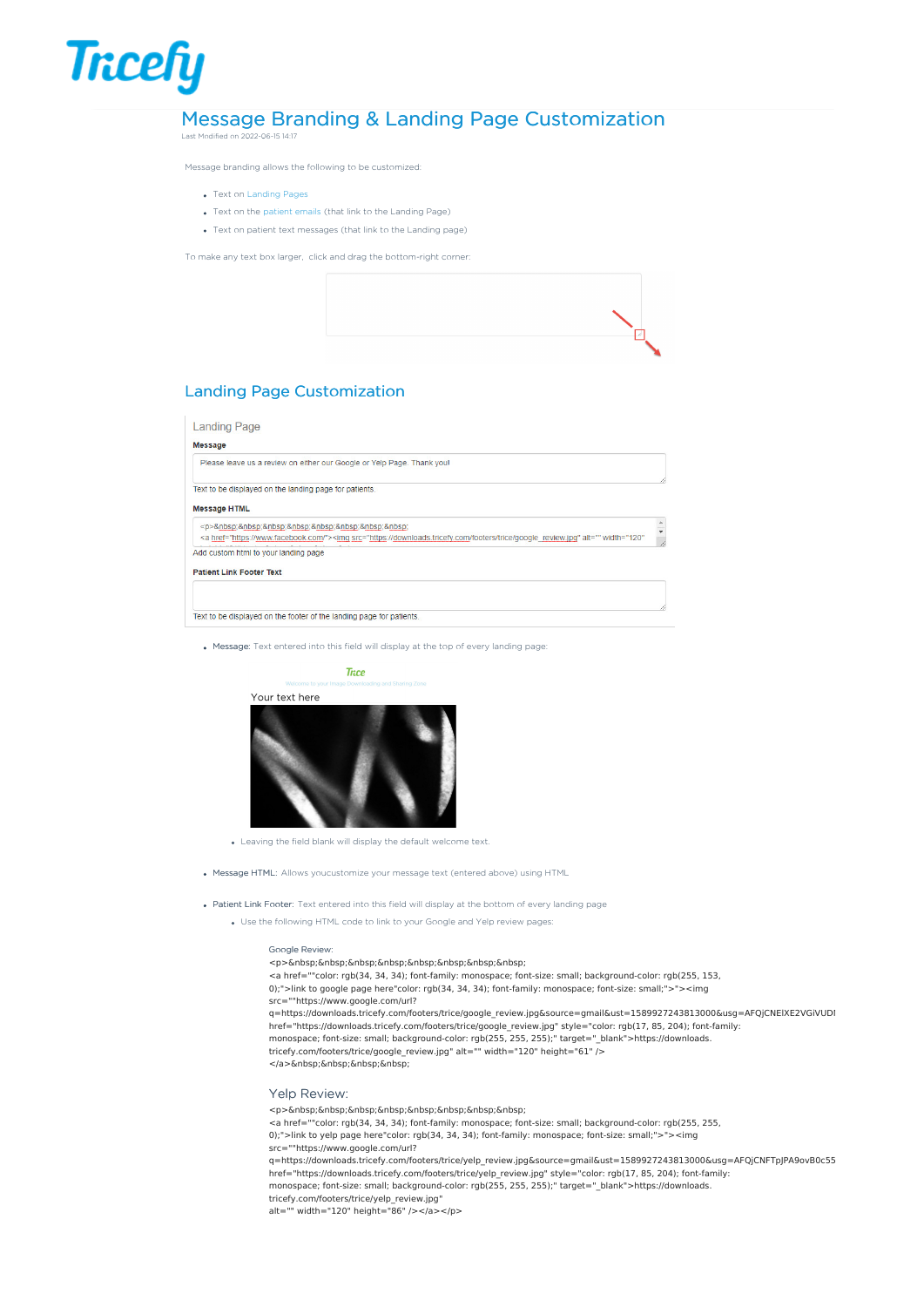# Message Branding & Landing Page Customization

Last Modified on 2022-06-15 14:17

**Tricefy** 

Message branding allows the following to be customized:

- Text on [Landing](http://www.tricefy.help/help/patient-landing-page) Pages
- Text on the [patient](http://www.tricefy.help/help/patient-landing-page) emails (that link to the Landing Page)
- Text on patient text messages (that link to the Landing page)

To make any text box larger, click and drag the bottom-right corner:



# Landing Page Customization

### **Landing Page**

#### Morrado

| Please leave us a review on either our Google or Yelp Page. Thank you!                                                                                                              |  |
|-------------------------------------------------------------------------------------------------------------------------------------------------------------------------------------|--|
| Text to be displayed on the landing page for patients.                                                                                                                              |  |
| <b>Message HTML</b>                                                                                                                                                                 |  |
| <p>         <br/><a href="https://www.facebook.com/"><imq <="" alt="" src="https://downloads.tricefy.com/footers/trice/qoogle review.jpq" td="" width="120"><td></td></imq></a></p> |  |
| Add custom html to your landing page                                                                                                                                                |  |
| <b>Patient Link Footer Text</b>                                                                                                                                                     |  |
|                                                                                                                                                                                     |  |
|                                                                                                                                                                                     |  |
| Text to be displayed on the footer of the landing page for patients.                                                                                                                |  |

Message: Text entered into this field will display at the top of every landing page:



- Leaving the field blank will display the default welcome text.
- Message HTML: Allows youcustomize your message text (entered above) using HTML
- Patient Link Footer: Text entered into this field will display at the bottom of every landing page
	- Use the following HTML code to link to your Google and Yelp review pages:

#### Google Review:

- <p>&nbsp;&nbsp;&nbsp;&nbsp;&nbsp;&nbsp;&nbsp;&nbsp;&nbsp;
- <a href=""color: rgb(34, 34, 34); font-family: monospace; font-size: small; background-color: rgb(255, 153,
- 0);">link to google page here"color: rgb(34, 34, 34); font-family: monospace; font-size: small;">"><img src=""https://www.google.com/url?

q=https://downloads.tricefy.com/footers/trice/google\_review.jpg&source=gmail&ust=1589927243813000&usg=AFQjCNElXE2VGiVUDI href="https://downloads.tricefy.com/footers/trice/google\_review.jpg" style="color: rgb(17, 85, 204); font-family: monospace; font-size: small; background-color: rgb(255, 255, 255);" target=" blank">https://downloads. tricefy.com/footers/trice/google\_review.jpg" alt="" width="120" height="61" /> </a>&nbsp;&nbsp;&nbsp;&nbsp;

## Yelp Review:

<p>&nbsp;&nbsp;&nbsp;&nbsp;&nbsp;&nbsp;&nbsp;&nbsp;&nbsp;

<a href=""color: rgb(34, 34, 34); font-family: monospace; font-size: small; background-color: rgb(255, 255, 0);">link to yelp page here"color: rgb(34, 34, 34); font-family: monospace; font-size: small;">"><img

src=""https://www.google.com/url?

q=https://downloads.tricefy.com/footers/trice/yelp\_review.jpg&source=gmail&ust=1589927243813000&usg=AFQjCNFTpJPA9ovB0c55 href="https://downloads.tricefy.com/footers/trice/yelp\_review.jpg" style="color: rgb(17, 85, 204); font-family: monospace; font-size: small; background-color: rgb(255, 255, 255);" target="\_blank">https://downloads.

tricefy.com/footers/trice/yelp\_review.jpg"

alt="" width="120" height="86" /></a></p>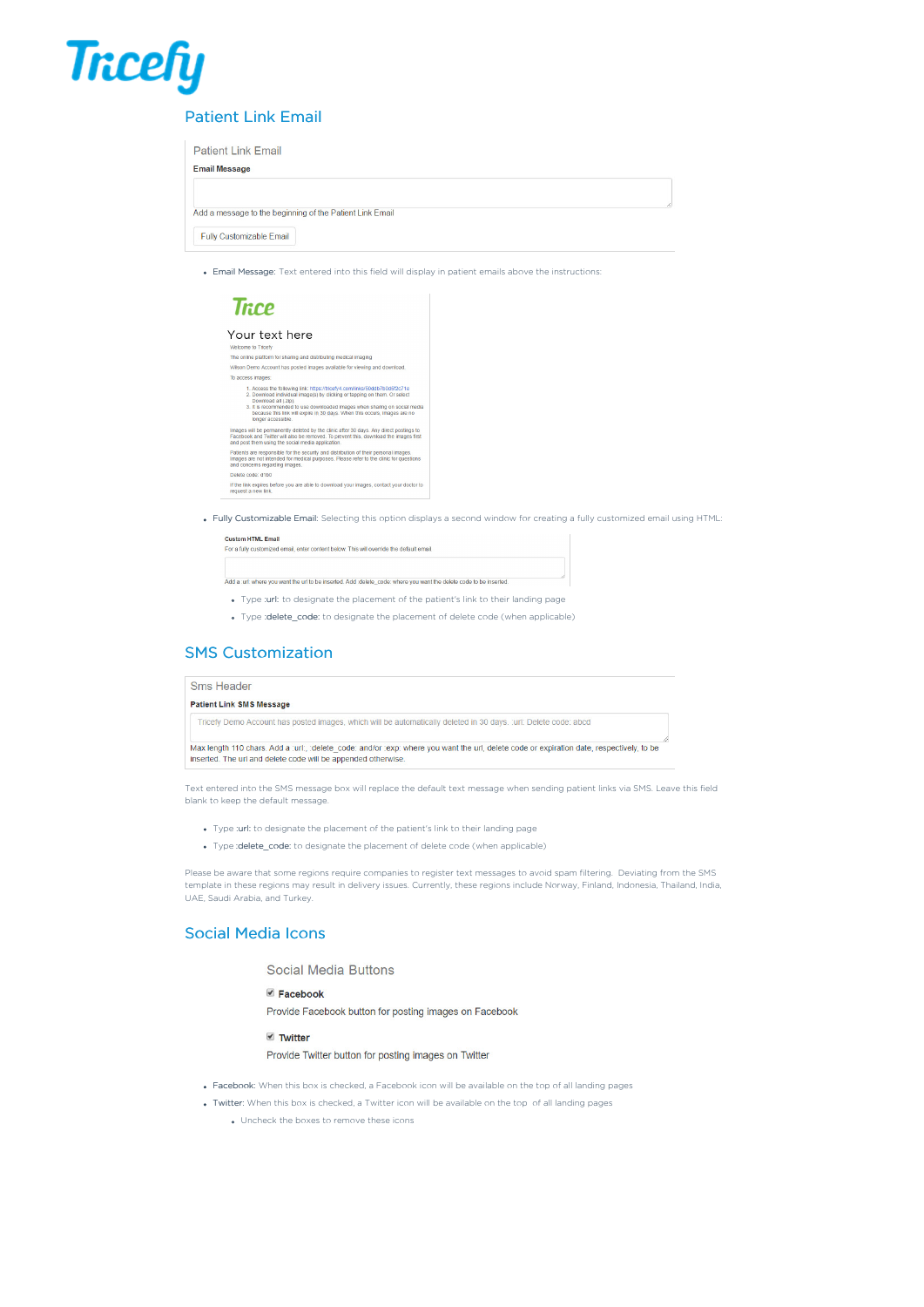

# Patient Link Email

| <b>Patient Link Email</b>                                |  |  |  |  |
|----------------------------------------------------------|--|--|--|--|
| <b>Email Message</b>                                     |  |  |  |  |
|                                                          |  |  |  |  |
| Add a message to the beginning of the Patient Link Email |  |  |  |  |
|                                                          |  |  |  |  |
| <b>Fully Customizable Email</b>                          |  |  |  |  |

Email Message: Text entered into this field will display in patient emails above the instructions:

# **Trice**

# Your text here

| Welcome to Tricefy                                                                                                                                                                                                                                                                                                                                              |
|-----------------------------------------------------------------------------------------------------------------------------------------------------------------------------------------------------------------------------------------------------------------------------------------------------------------------------------------------------------------|
| The online platform for sharing and distributing medical imaging                                                                                                                                                                                                                                                                                                |
| Wilson Demo Account has posted images available for viewing and download.                                                                                                                                                                                                                                                                                       |
| To access images:                                                                                                                                                                                                                                                                                                                                               |
| 1. Access the following link: https://tricefy4.com/links/50ddb7b0d5f2c71e<br>2. Download individual image(s) by clicking or tapping on them. Or select<br>Download all (.zip).<br>3. It is recommended to use downloaded images when sharing on social media<br>because this link will expire in 30 days. When this occurs, images are no<br>longer accessible. |
| Images will be permanently deleted by the clinic after 30 days. Any direct postings to<br>Facebook and Twitter will also be removed. To prevent this, download the images first<br>and post them using the social media application.                                                                                                                            |
| Patients are responsible for the security and distribution of their personal images.<br>Images are not intended for medical purposes. Please refer to the clinic for questions<br>and concerns regarding images.                                                                                                                                                |
| Delete code: d1b0                                                                                                                                                                                                                                                                                                                                               |
| If the link expires before you are able to download your images, contact your doctor to<br>request a new link.                                                                                                                                                                                                                                                  |
|                                                                                                                                                                                                                                                                                                                                                                 |

Fully Customizable Email: Selecting this option displays a second window for creating a fully customized email using HTML:

| <b>Custom HTML Email</b>                                                                                             |
|----------------------------------------------------------------------------------------------------------------------|
| For a fully customized email, enter content below. This will override the default email.                             |
|                                                                                                                      |
|                                                                                                                      |
|                                                                                                                      |
| Add a jurit where you want the url to be inserted. Add (delete) code: where you want the delete code to be inserted. |

- Type :url: to designate the placement of the patient's link to their landing page
- Type :delete\_code: to designate the placement of delete code (when applicable)

# SMS Customization

### Sms Header

#### **Patient Link SMS Message**

Tricefy Demo Account has posted images, which will be automatically deleted in 30 days. :url: Delete code: abcd

Max length 110 chars. Add a :url:, :delete\_code: and/or :exp: where you want the url, delete code or expiration date, respectively, to be inserted. The url and delete code will be appended otherwise.

Text entered into the SMS message box will replace the default text message when sending patient links via SMS. Leave this field blank to keep the default message.

- Type :url: to designate the placement of the patient's link to their landing page
- Type : delete\_code: to designate the placement of delete code (when applicable)

Please be aware that some regions require companies to register text messages to avoid spam filtering. Deviating from the SMS template in these regions may result in delivery issues. Currently, these regions include Norway, Finland, Indonesia, Thailand, India UAE, Saudi Arabia, and Turkey.

# Social Media Icons

## **Social Media Buttons**

## P Facebook

Provide Facebook button for posting images on Facebook

### ■ Twitter

Provide Twitter button for posting images on Twitter

- Facebook: When this box is checked, a Facebook icon will be available on the top of all landing pages
- Twitter: When this box is checked, a Twitter icon will be available on the top of all landing pages
	- Uncheck the boxes to remove these icons